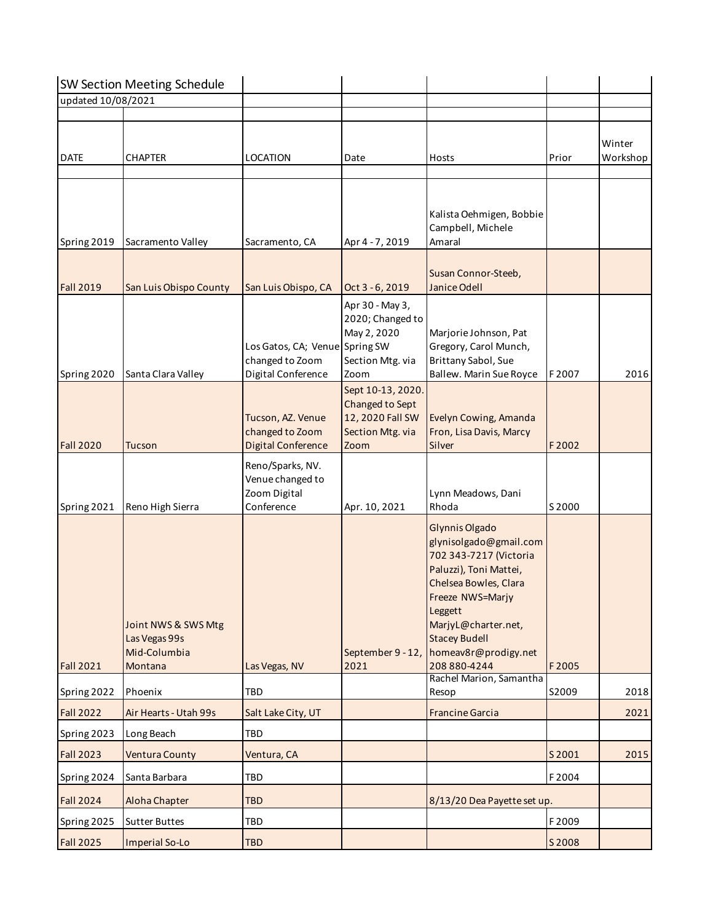|                    | <b>SW Section Meeting Schedule</b>                              |                                                                         |                                                                                      |                                                                                                                                                                                                                                             |        |                    |
|--------------------|-----------------------------------------------------------------|-------------------------------------------------------------------------|--------------------------------------------------------------------------------------|---------------------------------------------------------------------------------------------------------------------------------------------------------------------------------------------------------------------------------------------|--------|--------------------|
| updated 10/08/2021 |                                                                 |                                                                         |                                                                                      |                                                                                                                                                                                                                                             |        |                    |
| <b>DATE</b>        | <b>CHAPTER</b>                                                  | LOCATION                                                                | Date                                                                                 | Hosts                                                                                                                                                                                                                                       | Prior  | Winter<br>Workshop |
| Spring 2019        | Sacramento Valley                                               | Sacramento, CA                                                          | Apr 4 - 7, 2019                                                                      | Kalista Oehmigen, Bobbie<br>Campbell, Michele<br>Amaral                                                                                                                                                                                     |        |                    |
| <b>Fall 2019</b>   | San Luis Obispo County                                          | San Luis Obispo, CA                                                     | Oct 3 - 6, 2019                                                                      | Susan Connor-Steeb,<br>Janice Odell                                                                                                                                                                                                         |        |                    |
| Spring 2020        | Santa Clara Valley                                              | Los Gatos, CA; Venue Spring SW<br>changed to Zoom<br>Digital Conference | Apr 30 - May 3,<br>2020; Changed to<br>May 2, 2020<br>Section Mtg. via<br>Zoom       | Marjorie Johnson, Pat<br>Gregory, Carol Munch,<br>Brittany Sabol, Sue<br>Ballew. Marin Sue Royce                                                                                                                                            | F2007  | 2016               |
| <b>Fall 2020</b>   | Tucson                                                          | Tucson, AZ. Venue<br>changed to Zoom<br><b>Digital Conference</b>       | Sept 10-13, 2020.<br>Changed to Sept<br>12, 2020 Fall SW<br>Section Mtg. via<br>Zoom | Evelyn Cowing, Amanda<br>Fron, Lisa Davis, Marcy<br>Silver                                                                                                                                                                                  | F2002  |                    |
| Spring 2021        | Reno High Sierra                                                | Reno/Sparks, NV.<br>Venue changed to<br>Zoom Digital<br>Conference      | Apr. 10, 2021                                                                        | Lynn Meadows, Dani<br>Rhoda                                                                                                                                                                                                                 | S 2000 |                    |
| <b>Fall 2021</b>   | Joint NWS & SWS Mtg<br>Las Vegas 99s<br>Mid-Columbia<br>Montana | Las Vegas, NV                                                           | September 9 - 12,<br>2021                                                            | Glynnis Olgado<br>glynisolgado@gmail.com<br>702 343-7217 (Victoria<br>Paluzzi), Toni Mattei,<br>Chelsea Bowles, Clara<br>Freeze NWS=Marjy<br>Leggett<br>MarjyL@charter.net,<br><b>Stacey Budell</b><br>homeav8r@prodigy.net<br>208 880-4244 | F2005  |                    |
| Spring 2022        | Phoenix                                                         | TBD                                                                     |                                                                                      | Rachel Marion, Samantha<br>Resop                                                                                                                                                                                                            | S2009  | 2018               |
| <b>Fall 2022</b>   | Air Hearts - Utah 99s                                           | Salt Lake City, UT                                                      |                                                                                      | <b>Francine Garcia</b>                                                                                                                                                                                                                      |        | 2021               |
| Spring 2023        | Long Beach                                                      | <b>TBD</b>                                                              |                                                                                      |                                                                                                                                                                                                                                             |        |                    |
| <b>Fall 2023</b>   | <b>Ventura County</b>                                           | Ventura, CA                                                             |                                                                                      |                                                                                                                                                                                                                                             | S 2001 | 2015               |
| Spring 2024        | Santa Barbara                                                   | <b>TBD</b>                                                              |                                                                                      |                                                                                                                                                                                                                                             | F2004  |                    |
| <b>Fall 2024</b>   | Aloha Chapter                                                   | <b>TBD</b>                                                              |                                                                                      | 8/13/20 Dea Payette set up.                                                                                                                                                                                                                 |        |                    |
| Spring 2025        | <b>Sutter Buttes</b>                                            | <b>TBD</b>                                                              |                                                                                      |                                                                                                                                                                                                                                             | F2009  |                    |
| <b>Fall 2025</b>   | <b>Imperial So-Lo</b>                                           | <b>TBD</b>                                                              |                                                                                      |                                                                                                                                                                                                                                             | S 2008 |                    |